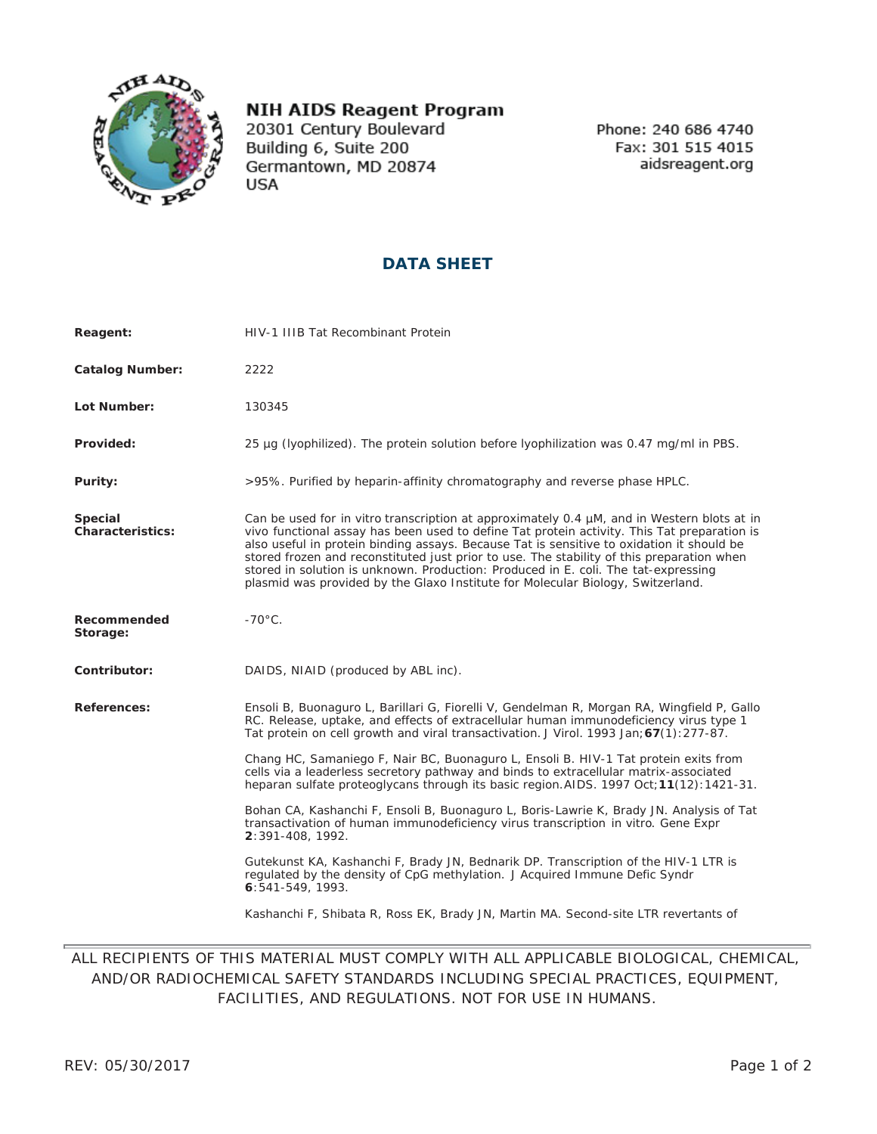

## **NIH AIDS Reagent Program**

20301 Century Boulevard Building 6, Suite 200 Germantown, MD 20874 **USA** 

Phone: 240 686 4740 Fax: 301 515 4015 aidsreagent.org

## **DATA SHEET**

| Reagent:                    | HIV-1 IIIB Tat Recombinant Protein                                                                                                                                                                                                                                                                                                                                                                                                                                                                                                                                  |
|-----------------------------|---------------------------------------------------------------------------------------------------------------------------------------------------------------------------------------------------------------------------------------------------------------------------------------------------------------------------------------------------------------------------------------------------------------------------------------------------------------------------------------------------------------------------------------------------------------------|
| <b>Catalog Number:</b>      | 2222                                                                                                                                                                                                                                                                                                                                                                                                                                                                                                                                                                |
| Lot Number:                 | 130345                                                                                                                                                                                                                                                                                                                                                                                                                                                                                                                                                              |
| Provided:                   | 25 µg (lyophilized). The protein solution before lyophilization was 0.47 mg/ml in PBS.                                                                                                                                                                                                                                                                                                                                                                                                                                                                              |
| Purity:                     | >95%. Purified by heparin-affinity chromatography and reverse phase HPLC.                                                                                                                                                                                                                                                                                                                                                                                                                                                                                           |
| Special<br>Characteristics: | Can be used for <i>in vitro</i> transcription at approximately 0.4 µM, and in Western blots at in<br>vivo functional assay has been used to define Tat protein activity. This Tat preparation is<br>also useful in protein binding assays. Because Tat is sensitive to oxidation it should be<br>stored frozen and reconstituted just prior to use. The stability of this preparation when<br>stored in solution is unknown. Production: Produced in E. coli. The tat-expressing<br>plasmid was provided by the Glaxo Institute for Molecular Biology, Switzerland. |
| Recommended<br>Storage:     | $-70^{\circ}$ C.                                                                                                                                                                                                                                                                                                                                                                                                                                                                                                                                                    |
| Contributor:                | DAIDS, NIAID (produced by ABL inc).                                                                                                                                                                                                                                                                                                                                                                                                                                                                                                                                 |
| References:                 | Ensoli B, Buonaguro L, Barillari G, Fiorelli V, Gendelman R, Morgan RA, Wingfield P, Gallo<br>RC. Release, uptake, and effects of extracellular human immunodeficiency virus type 1<br>Tat protein on cell growth and viral transactivation. J Virol. 1993 Jan; 67(1): 277-87.                                                                                                                                                                                                                                                                                      |
|                             | Chang HC, Samaniego F, Nair BC, Buonaguro L, Ensoli B. HIV-1 Tat protein exits from<br>cells via a leaderless secretory pathway and binds to extracellular matrix-associated<br>heparan sulfate proteoglycans through its basic region. AIDS. 1997 Oct; 11(12): 1421-31.                                                                                                                                                                                                                                                                                            |
|                             | Bohan CA, Kashanchi F, Ensoli B, Buonaguro L, Boris-Lawrie K, Brady JN. Analysis of Tat<br>transactivation of human immunodeficiency virus transcription in vitro. Gene Expr<br>2:391-408, 1992.                                                                                                                                                                                                                                                                                                                                                                    |
|                             | Gutekunst KA, Kashanchi F, Brady JN, Bednarik DP. Transcription of the HIV-1 LTR is<br>regulated by the density of CpG methylation. J Acquired Immune Defic Syndr<br>6:541-549, 1993.                                                                                                                                                                                                                                                                                                                                                                               |
|                             | Kashanchi F, Shibata R, Ross EK, Brady JN, Martin MA. Second-site LTR revertants of                                                                                                                                                                                                                                                                                                                                                                                                                                                                                 |

## ALL RECIPIENTS OF THIS MATERIAL MUST COMPLY WITH ALL APPLICABLE BIOLOGICAL, CHEMICAL, AND/OR RADIOCHEMICAL SAFETY STANDARDS INCLUDING SPECIAL PRACTICES, EQUIPMENT, FACILITIES, AND REGULATIONS. NOT FOR USE IN HUMANS.